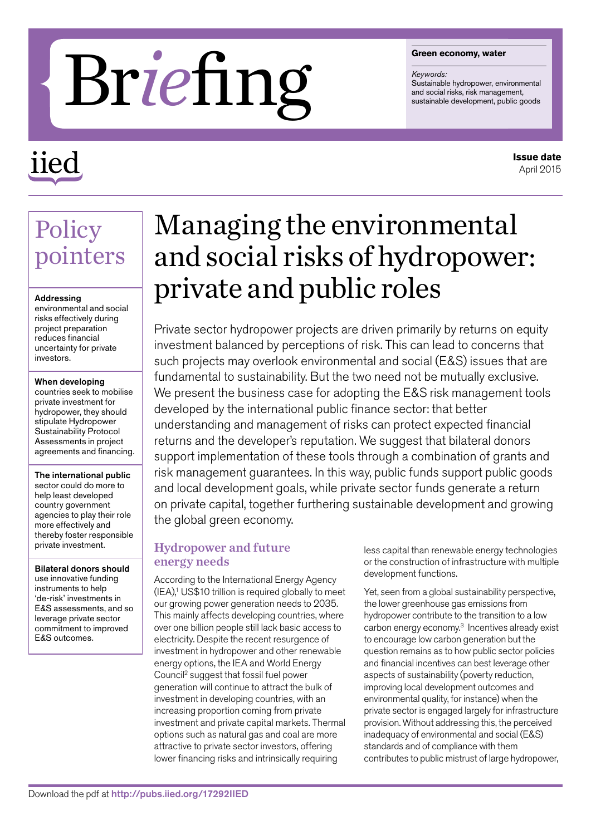#### **Green economy, water**

*Keywords:* Sustainable hydropower, environmental<br>and social risks, risk management,

# **areen economy, water**<br>and social risks, risk management,<br>sustainable development, public goods<br>sustainable development, public goods

## iied

#### **Issue date** April 2015

### Policy pointers

#### Addressing

environmental and social risks effectively during project preparation reduces financial uncertainty for private investors.

#### When developing

countries seek to mobilise private investment for hydropower, they should stipulate Hydropower Sustainability Protocol Assessments in project agreements and financing.

The international public sector could do more to help least developed country government agencies to play their role more effectively and thereby foster responsible private investment.

Bilateral donors should use innovative funding instruments to help 'de-risk' investments in E&S assessments, and so leverage private sector commitment to improved E&S outcomes.

## Managing the environmental and social risks of hydropower: private and public roles

Private sector hydropower projects are driven primarily by returns on equity investment balanced by perceptions of risk. This can lead to concerns that such projects may overlook environmental and social (E&S) issues that are fundamental to sustainability. But the two need not be mutually exclusive. We present the business case for adopting the E&S risk management tools developed by the international public finance sector: that better understanding and management of risks can protect expected financial returns and the developer's reputation. We suggest that bilateral donors support implementation of these tools through a combination of grants and risk management guarantees. In this way, public funds support public goods and local development goals, while private sector funds generate a return on private capital, together furthering sustainable development and growing the global green economy.

#### Hydropower and future energy needs

According to the International Energy Agency  $(IEA)<sup>1</sup>$  US\$10 trillion is required globally to meet our growing power generation needs to 2035. This mainly affects developing countries, where over one billion people still lack basic access to electricity. Despite the recent resurgence of investment in hydropower and other renewable energy options, the IEA and World Energy Council2 suggest that fossil fuel power generation will continue to attract the bulk of investment in developing countries, with an increasing proportion coming from private investment and private capital markets. Thermal options such as natural gas and coal are more attractive to private sector investors, offering lower financing risks and intrinsically requiring

less capital than renewable energy technologies or the construction of infrastructure with multiple development functions.

Yet, seen from a global sustainability perspective, the lower greenhouse gas emissions from hydropower contribute to the transition to a low carbon energy economy.3 Incentives already exist to encourage low carbon generation but the question remains as to how public sector policies and financial incentives can best leverage other aspects of sustainability (poverty reduction, improving local development outcomes and environmental quality, for instance) when the private sector is engaged largely for infrastructure provision. Without addressing this, the perceived inadequacy of environmental and social (E&S) standards and of compliance with them contributes to public mistrust of large hydropower,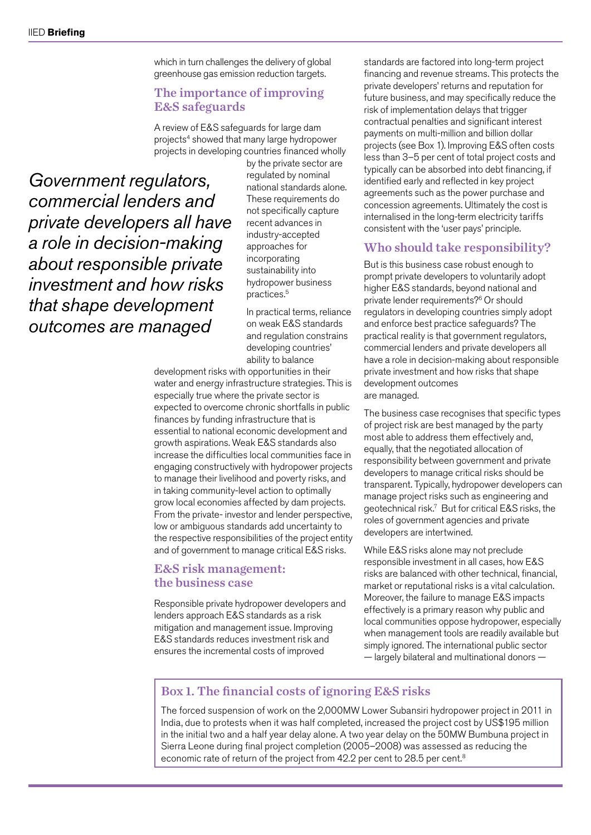which in turn challenges the delivery of global greenhouse gas emission reduction targets.

#### The importance of improving E&S safeguards

A review of E&S safeguards for large dam projects<sup>4</sup> showed that many large hydropower projects in developing countries financed wholly

*Government regulators, commercial lenders and private developers all have a role in decision-making about responsible private investment and how risks that shape development outcomes are managed*

by the private sector are regulated by nominal national standards alone. These requirements do not specifically capture recent advances in industry-accepted approaches for incorporating sustainability into hydropower business practices.5

In practical terms, reliance on weak E&S standards and regulation constrains developing countries' ability to balance

development risks with opportunities in their water and energy infrastructure strategies. This is especially true where the private sector is expected to overcome chronic shortfalls in public finances by funding infrastructure that is essential to national economic development and growth aspirations. Weak E&S standards also increase the difficulties local communities face in engaging constructively with hydropower projects to manage their livelihood and poverty risks, and in taking community-level action to optimally grow local economies affected by dam projects. From the private- investor and lender perspective, low or ambiguous standards add uncertainty to the respective responsibilities of the project entity and of government to manage critical E&S risks.

#### E&S risk management: the business case

Responsible private hydropower developers and lenders approach E&S standards as a risk mitigation and management issue. Improving E&S standards reduces investment risk and ensures the incremental costs of improved

standards are factored into long-term project financing and revenue streams. This protects the private developers' returns and reputation for future business, and may specifically reduce the risk of implementation delays that trigger contractual penalties and significant interest payments on multi-million and billion dollar projects (see Box 1). Improving E&S often costs less than 3–5 per cent of total project costs and typically can be absorbed into debt financing, if identified early and reflected in key project agreements such as the power purchase and concession agreements. Ultimately the cost is internalised in the long-term electricity tariffs consistent with the 'user pays' principle.

#### Who should take responsibility?

But is this business case robust enough to prompt private developers to voluntarily adopt higher E&S standards, beyond national and private lender requirements?6 Or should regulators in developing countries simply adopt and enforce best practice safeguards? The practical reality is that government regulators, commercial lenders and private developers all have a role in decision-making about responsible private investment and how risks that shape development outcomes are managed.

The business case recognises that specific types of project risk are best managed by the party most able to address them effectively and, equally, that the negotiated allocation of responsibility between government and private developers to manage critical risks should be transparent. Typically, hydropower developers can manage project risks such as engineering and geotechnical risk.7 But for critical E&S risks, the roles of government agencies and private developers are intertwined.

While E&S risks alone may not preclude responsible investment in all cases, how E&S risks are balanced with other technical, financial, market or reputational risks is a vital calculation. Moreover, the failure to manage E&S impacts effectively is a primary reason why public and local communities oppose hydropower, especially when management tools are readily available but simply ignored. The international public sector — largely bilateral and multinational donors —

#### Box 1. The financial costs of ignoring E&S risks

The forced suspension of work on the 2,000MW Lower Subansiri hydropower project in 2011 in India, due to protests when it was half completed, increased the project cost by US\$195 million in the initial two and a half year delay alone. A two year delay on the 50MW Bumbuna project in Sierra Leone during final project completion (2005–2008) was assessed as reducing the economic rate of return of the project from 42.2 per cent to 28.5 per cent.<sup>8</sup>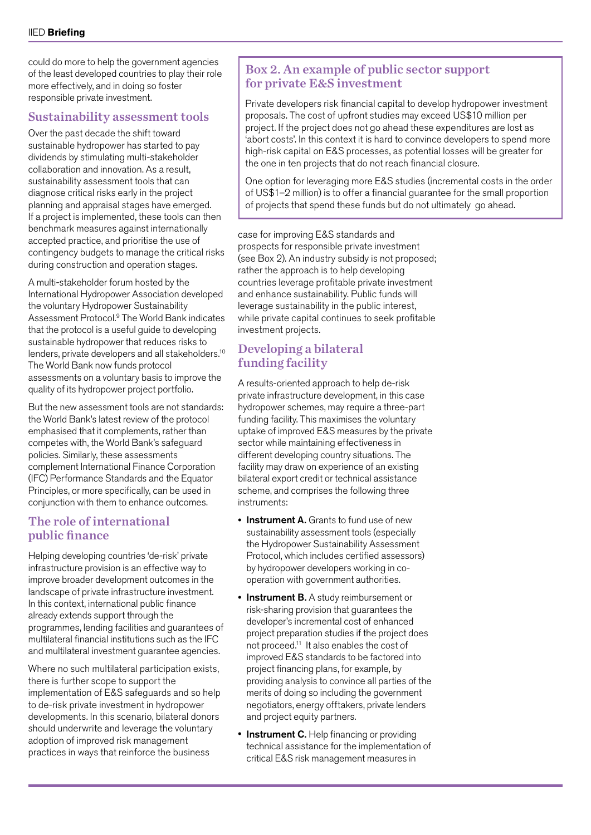could do more to help the government agencies of the least developed countries to play their role more effectively, and in doing so foster responsible private investment.

#### Sustainability assessment tools

Over the past decade the shift toward sustainable hydropower has started to pay dividends by stimulating multi-stakeholder collaboration and innovation. As a result, sustainability assessment tools that can diagnose critical risks early in the project planning and appraisal stages have emerged. If a project is implemented, these tools can then benchmark measures against internationally accepted practice, and prioritise the use of contingency budgets to manage the critical risks during construction and operation stages.

A multi-stakeholder forum hosted by the International Hydropower Association developed the voluntary Hydropower Sustainability Assessment Protocol.9 The World Bank indicates that the protocol is a useful guide to developing sustainable hydropower that reduces risks to lenders, private developers and all stakeholders.10 The World Bank now funds protocol assessments on a voluntary basis to improve the quality of its hydropower project portfolio.

But the new assessment tools are not standards: the World Bank's latest review of the protocol emphasised that it complements, rather than competes with, the World Bank's safeguard policies. Similarly, these assessments complement International Finance Corporation (IFC) Performance Standards and the Equator Principles, or more specifically, can be used in conjunction with them to enhance outcomes.

#### The role of international public finance

Helping developing countries 'de-risk' private infrastructure provision is an effective way to improve broader development outcomes in the landscape of private infrastructure investment. In this context, international public finance already extends support through the programmes, lending facilities and guarantees of multilateral financial institutions such as the IFC and multilateral investment guarantee agencies.

Where no such multilateral participation exists, there is further scope to support the implementation of E&S safeguards and so help to de-risk private investment in hydropower developments. In this scenario, bilateral donors should underwrite and leverage the voluntary adoption of improved risk management practices in ways that reinforce the business

#### Box 2. An example of public sector support for private E&S investment

Private developers risk financial capital to develop hydropower investment proposals. The cost of upfront studies may exceed US\$10 million per project. If the project does not go ahead these expenditures are lost as 'abort costs'. In this context it is hard to convince developers to spend more high-risk capital on E&S processes, as potential losses will be greater for the one in ten projects that do not reach financial closure.

One option for leveraging more E&S studies (incremental costs in the order of US\$1–2 million) is to offer a financial guarantee for the small proportion of projects that spend these funds but do not ultimately go ahead.

case for improving E&S standards and prospects for responsible private investment (see Box 2). An industry subsidy is not proposed; rather the approach is to help developing countries leverage profitable private investment and enhance sustainability. Public funds will leverage sustainability in the public interest, while private capital continues to seek profitable investment projects.

#### Developing a bilateral funding facility

A results-oriented approach to help de-risk private infrastructure development, in this case hydropower schemes, may require a three-part funding facility. This maximises the voluntary uptake of improved E&S measures by the private sector while maintaining effectiveness in different developing country situations. The facility may draw on experience of an existing bilateral export credit or technical assistance scheme, and comprises the following three instruments:

- Instrument A. Grants to fund use of new sustainability assessment tools (especially the Hydropower Sustainability Assessment Protocol, which includes certified assessors) by hydropower developers working in cooperation with government authorities.
- Instrument B. A study reimbursement or risk-sharing provision that guarantees the developer's incremental cost of enhanced project preparation studies if the project does not proceed.11 It also enables the cost of improved E&S standards to be factored into project financing plans, for example, by providing analysis to convince all parties of the merits of doing so including the government negotiators, energy offtakers, private lenders and project equity partners.
- Instrument C. Help financing or providing technical assistance for the implementation of critical E&S risk management measures in